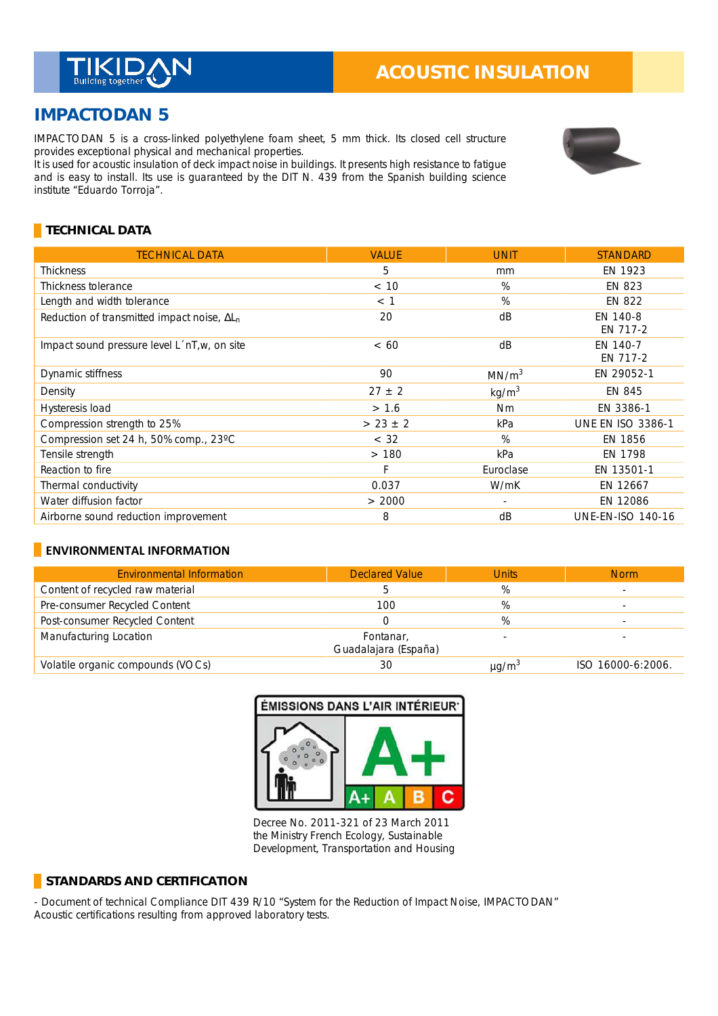

# **IMPACTODAN 5**

IMPACTODAN 5 is a cross-linked polyethylene foam sheet, 5 mm thick. Its closed cell structure provides exceptional physical and mechanical properties. \_

It is used for acoustic insulation of deck impact noise in buildings. It presents high resistance to fatigue and is easy to install. Its use is guaranteed by the DIT N. 439 from the Spanish building science institute "Eduardo Torroja".



### **TECHNICAL DATA**

| <b>TECHNICAL DATA</b>                               | <b>VALUE</b> | <b>UNIT</b>       | <b>STANDARD</b>          |
|-----------------------------------------------------|--------------|-------------------|--------------------------|
| Thickness                                           | 5            | mm                | EN 1923                  |
| Thickness tolerance                                 | < 10         | %                 | EN 823                   |
| Length and width tolerance                          | < 1          | %                 | EN 822                   |
| Reduction of transmitted impact noise, $\Delta L_n$ | 20           | dB                | EN 140-8<br>EN 717-2     |
| Impact sound pressure level L'nT, w, on site        | <60          | dB                | EN 140-7<br>EN 717-2     |
| Dynamic stiffness                                   | 90           | MN/m <sup>3</sup> | EN 29052-1               |
| Density                                             | $27 \pm 2$   | kg/m <sup>3</sup> | EN 845                   |
| Hysteresis load                                     | > 1.6        | <b>Nm</b>         | EN 3386-1                |
| Compression strength to 25%                         | $> 23 \pm 2$ | kPa               | <b>UNE EN ISO 3386-1</b> |
| Compression set 24 h, 50% comp., 23°C               | < 32         | %                 | EN 1856                  |
| Tensile strength                                    | >180         | kPa               | EN 1798                  |
| Reaction to fire                                    | F            | Euroclase         | EN 13501-1               |
| Thermal conductivity                                | 0.037        | W/mK              | EN 12667                 |
| Water diffusion factor                              | > 2000       |                   | EN 12086                 |
| Airborne sound reduction improvement                | 8            | dB                | <b>UNE-EN-ISO 140-16</b> |

#### **ENVIRONMENTAL INFORMATION**

| <b>Environmental Information</b>  | <b>Declared Value</b>             | <b>Units</b>           | <b>Norm</b>       |
|-----------------------------------|-----------------------------------|------------------------|-------------------|
| Content of recycled raw material  |                                   | %                      |                   |
| Pre-consumer Recycled Content     | 100                               | %                      |                   |
| Post-consumer Recycled Content    |                                   | %                      |                   |
| Manufacturing Location            | Fontanar,<br>Guadalajara (España) |                        |                   |
| Volatile organic compounds (VOCs) | 30                                | $\mu$ g/m <sup>3</sup> | ISO 16000-6:2006. |



Decree No. 2011-321 of 23 March 2011 the Ministry French Ecology, Sustainable Development, Transportation and Housing

## **STANDARDS AND CERTIFICATION**

- Document of technical Compliance DIT 439 R/10 "System for the Reduction of Impact Noise, IMPACTODAN" Acoustic certifications resulting from approved laboratory tests.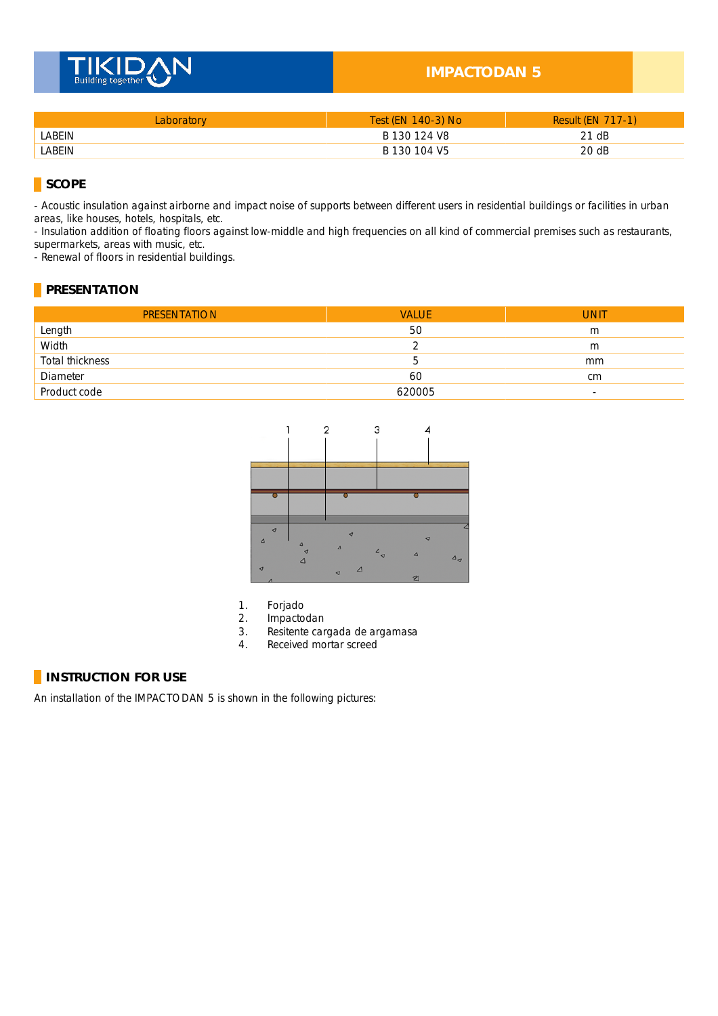

### **IMPACTODAN 5**

| Laboratorv | Test (EN 140-3) No | <b>Result (EN 717-1)</b> |
|------------|--------------------|--------------------------|
| LABEIN     | B 130 124 V8       | 21 dB                    |
| LABEIN     | B 130 104 V5       | 20 dB                    |

**SCOPE** 

- Acoustic insulation against airborne and impact noise of supports between different users in residential buildings or facilities in urban areas, like houses, hotels, hospitals, etc.

- Insulation addition of floating floors against low-middle and high frequencies on all kind of commercial premises such as restaurants, supermarkets, areas with music, etc.

- Renewal of floors in residential buildings.

#### **PRESENTATION**

| <b>PRESENTATION</b> | <b>VALUE</b> | <b>UNIT</b>              |
|---------------------|--------------|--------------------------|
| Length              | 50           | m                        |
| Width               |              | m                        |
| Total thickness     | 5.           | mm                       |
| Diameter            | 60           | cm                       |
| Product code        | 620005       | $\overline{\phantom{0}}$ |



- 1. Forjado
- 2. Impactodan<br>3. Resitente car
- Resitente cargada de argamasa
- 4. Received mortar screed

#### **INSTRUCTION FOR USE**

An installation of the IMPACTODAN 5 is shown in the following pictures: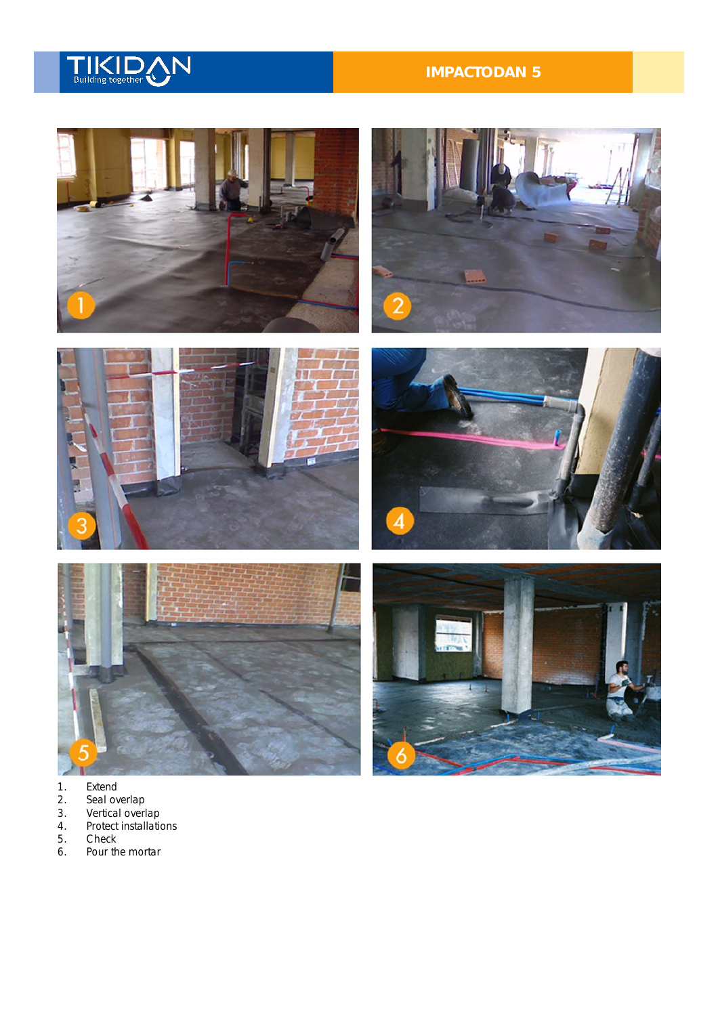

# **IMPACTODAN 5**







- 
- 1. Extend<br>
2. Seal ov<br>
3. Vertical<br>
4. Protect 2. Seal overlap
- 3. Vertical overlap
- 4. Protect installations
- 5. Check<br>6. Pour th
- Pour the mortar